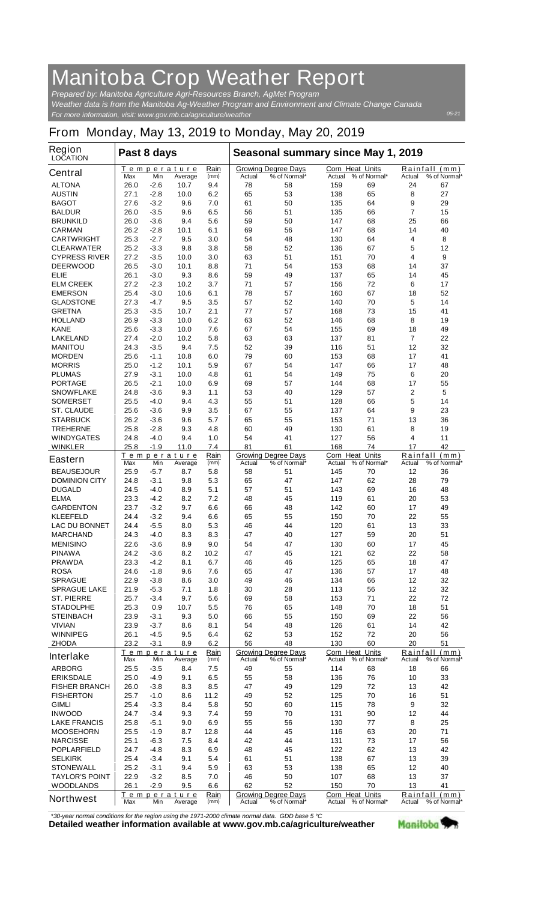## **Manitoba Crop Weather Report**

*For more information, visit: www.gov.mb.ca/agriculture/weather Prepared by: Manitoba Agriculture Agri-Resources Branch, AgMet Program Weather data is from the Manitoba Ag-Weather Program and Environment and Climate Change Canada*

## **From Monday, May 13, 2019 to Monday, May 20, 2019**

| <b>Region</b><br><b>LOCATION</b> | Past 8 days                                                 |        |                        |              | Seasonal summary since May 1, 2019 |                                            |                                  |              |                                            |                               |
|----------------------------------|-------------------------------------------------------------|--------|------------------------|--------------|------------------------------------|--------------------------------------------|----------------------------------|--------------|--------------------------------------------|-------------------------------|
| <b>Central</b>                   | Max                                                         | Min    | Temperature<br>Average | Rain<br>(mm) | Actual                             | <b>Growing Degree Days</b><br>% of Normal* | <b>Corn Heat Units</b><br>Actual | % of Normal* | Actual                                     | Rainfall (mm)<br>% of Normal* |
| <b>ALTONA</b>                    | 26.0                                                        | -2.6   | 10.7                   | 9.4          | 78                                 | 58                                         | 159                              | 69           | 24                                         | 67                            |
| <b>AUSTIN</b>                    | 27.1                                                        | $-2.8$ | 10.0                   | 6.2          | 65                                 | 53                                         | 138                              | 65           | 8                                          | 27                            |
| <b>BAGOT</b>                     | 27.6                                                        | $-3.2$ | 9.6                    | 7.0          | 61                                 | 50                                         | 135                              | 64           | 9                                          | 29                            |
| <b>BALDUR</b>                    | 26.0                                                        | $-3.5$ | 9.6                    | 6.5          | 56                                 | 51                                         | 135                              | 66           | $\overline{7}$                             | 15                            |
| <b>BRUNKILD</b>                  | 26.0                                                        | $-3.6$ | 9.4                    | 5.6          | 59                                 | 50                                         | 147                              | 68           | 25                                         | 66                            |
| <b>CARMAN</b>                    | 26.2                                                        | $-2.8$ | 10.1                   | 6.1          | 69                                 | 56                                         | 147                              | 68           | 14                                         | 40                            |
| <b>CARTWRIGHT</b>                | 25.3                                                        | $-2.7$ | 9.5                    | 3.0          | 54                                 | 48                                         | 130                              | 64           | 4                                          | 8                             |
| <b>CLEARWATER</b>                | 25.2                                                        | $-3.3$ | 9.8                    | 3.8          | 58                                 | 52                                         | 136                              | 67           | 5                                          | 12                            |
| <b>CYPRESS RIVER</b>             | 27.2                                                        | $-3.5$ | 10.0                   | 3.0          | 63                                 | 51                                         | 151                              | 70           | 4                                          | 9                             |
| <b>DEERWOOD</b>                  | 26.5                                                        | $-3.0$ | 10.1                   | 8.8          | 71                                 | 54                                         | 153                              | 68           | 14                                         | 37                            |
| ELIE                             | 26.1                                                        | $-3.0$ | 9.3                    | 8.6          | 59                                 | 49                                         | 137                              | 65           | 14                                         | 45                            |
| <b>ELM CREEK</b>                 | 27.2                                                        | $-2.3$ | 10.2                   | 3.7          | 71                                 | 57                                         | 156                              | 72           | 6                                          | 17                            |
| <b>EMERSON</b>                   | 25.4                                                        | $-3.0$ | 10.6                   | 6.1          | 78                                 | 57                                         | 160                              | 67           | 18                                         | 52                            |
| <b>GLADSTONE</b>                 | 27.3                                                        | -4.7   | 9.5                    | 3.5          | 57                                 | 52                                         | 140                              | 70           | 5                                          | 14                            |
| <b>GRETNA</b>                    | 25.3                                                        | $-3.5$ | 10.7                   | 2.1          | 77                                 | 57                                         | 168                              | 73           | 15                                         | 41                            |
| <b>HOLLAND</b>                   | 26.9                                                        | $-3.3$ | 10.0                   | 6.2          | 63                                 | 52                                         | 146                              | 68           | 8                                          | 19                            |
| <b>KANE</b>                      | 25.6                                                        | $-3.3$ | 10.0                   | 7.6          | 67                                 | 54                                         | 155                              | 69           | 18                                         | 49                            |
| <b>LAKELAND</b>                  | 27.4                                                        | $-2.0$ | 10.2                   | 5.8          | 63                                 | 63                                         | 137                              | 81           | 7                                          | 22                            |
| <b>MANITOU</b>                   | 24.3                                                        | $-3.5$ | 9.4                    | 7.5          | 52                                 | 39                                         | 116                              | 51           | 12                                         | 32                            |
| <b>MORDEN</b>                    | 25.6                                                        | $-1.1$ | 10.8                   | 6.0          | 79                                 | 60                                         | 153                              | 68           | 17                                         | 41                            |
| <b>MORRIS</b>                    | 25.0                                                        | -1.2   | 10.1                   | 5.9          | 67                                 | 54                                         | 147                              | 66           | 17                                         | 48                            |
| <b>PLUMAS</b>                    | 27.9                                                        | $-3.1$ | 10.0                   | 4.8          | 61                                 | 54                                         | 149                              | 75           | 6                                          | 20                            |
| <b>PORTAGE</b>                   | 26.5                                                        | $-2.1$ | 10.0                   | 6.9          | 69                                 | 57                                         | 144                              | 68           | 17                                         | 55                            |
| <b>SNOWFLAKE</b>                 | 24.8                                                        | -3.6   | 9.3                    | 1.1          | 53                                 | 40                                         | 129                              | 57           | 2                                          | 5                             |
| <b>SOMERSET</b>                  | 25.5                                                        | $-4.0$ | 9.4                    | 4.3          | 55                                 | 51                                         | 128                              | 66           | 5                                          | 14                            |
| <b>ST. CLAUDE</b>                | 25.6                                                        | $-3.6$ | 9.9                    | 3.5          | 67                                 | 55                                         | 137                              | 64           | 9                                          | 23                            |
| <b>STARBUCK</b>                  | 26.2                                                        | -3.6   | 9.6                    | 5.7          | 65                                 | 55                                         | 153                              | 71           | 13                                         | 36                            |
| <b>TREHERNE</b>                  | 25.8                                                        | $-2.8$ | 9.3                    | 4.8          | 60                                 | 49                                         | 130                              | 61           | 8                                          | 19                            |
| <b>WINDYGATES</b>                | 24.8                                                        | $-4.0$ | 9.4                    | 1.0          | 54                                 | 41                                         | 127                              | 56           | 4                                          | 11                            |
| <b>WINKLER</b>                   | 25.8                                                        | $-1.9$ | 11.0                   | 7.4          | 81                                 | 61                                         | 168                              | 74           | 17                                         | 42                            |
| <b>Eastern</b>                   | Max                                                         | Min    | Temperature<br>Average | Rain<br>(mm) | Actual                             | <b>Growing Degree Days</b><br>% of Normal* | Corn Heat Units<br>Actual        | % of Normal* | Rainfall<br>Actual                         | (mm)<br>% of Normal*          |
| <b>BEAUSEJOUR</b>                | 25.9                                                        | -5.7   | 8.7                    | 5.8          | 58                                 | 51                                         | 145                              | 70           | 12                                         | 36                            |
| <b>DOMINION CITY</b>             | 24.8                                                        | $-3.1$ | 9.8                    | 5.3          | 65                                 | 47                                         | 147                              | 62           | 28                                         | 79                            |
| <b>DUGALD</b>                    | 24.5                                                        | $-4.0$ | 8.9                    | 5.1          | 57                                 | 51                                         | 143                              | 69           | 16                                         | 48                            |
| <b>ELMA</b>                      | 23.3                                                        | $-4.2$ | 8.2                    | 7.2          | 48                                 | 45                                         | 119                              | 61           | 20                                         | 53                            |
| <b>GARDENTON</b>                 | 23.7                                                        | $-3.2$ | 9.7                    | 6.6          | 66                                 | 48                                         | 142                              | 60           | 17                                         | 49                            |
| <b>KLEEFELD</b>                  | 24.4                                                        | $-3.2$ | 9.4                    | 6.6          | 65                                 | 55                                         | 150                              | 70           | 22                                         | 55                            |
| <b>LAC DU BONNET</b>             | 24.4                                                        | -5.5   | 8.0                    | 5.3          | 46                                 | 44                                         | 120                              | 61           | 13                                         | 33                            |
| <b>MARCHAND</b>                  | 24.3                                                        | -4.0   | 8.3                    | 8.3          | 47                                 | 40                                         | 127                              | 59           | 20                                         | 51                            |
| <b>MENISINO</b>                  | 22.6                                                        | $-3.6$ | 8.9                    | 9.0          | 54                                 | 47                                         | 130                              | 60           | 17                                         | 45                            |
| <b>PINAWA</b>                    | 24.2                                                        | $-3.6$ | 8.2                    | 10.2         | 47                                 | 45                                         | 121                              | 62           | 22                                         | 58                            |
| <b>PRAWDA</b>                    | 23.3                                                        | $-4.2$ | 8.1                    | 6.7          | 46                                 | 46                                         | 125                              | 65           | 18                                         | 47                            |
| <b>ROSA</b>                      | 24.6                                                        | $-1.8$ | 9.6                    | 7.6          | 65                                 | 47                                         | 136                              | 57           | 17                                         | 48                            |
| <b>SPRAGUE</b>                   | 22.9                                                        | $-3.8$ | 8.6                    | 3.0          | 49                                 | 46                                         | 134                              | 66           | 12                                         | 32                            |
| <b>SPRAGUE LAKE</b>              | 21.9                                                        | $-5.3$ | 7.1                    | 1.8          | 30                                 | 28                                         | 113                              | 56           | 12                                         | 32                            |
| <b>ST. PIERRE</b>                | 25.7                                                        | $-3.4$ | 9.7                    | 5.6          | 69                                 | 58                                         | 153                              | 71           | 22                                         | 72                            |
| <b>STADOLPHE</b>                 | 25.3                                                        | 0.9    | 10.7                   | 5.5          | 76                                 | 65                                         | 148                              | 70           | 18                                         | 51                            |
| <b>STEINBACH</b>                 | 23.9                                                        | $-3.1$ | 9.3                    | 5.0          | 66                                 | 55                                         | 150                              | 69           | 22                                         | 56                            |
| <b>VIVIAN</b>                    | 23.9                                                        | $-3.7$ | 8.6                    | 8.1          | 54                                 | 48                                         | 126                              | 61           | 14                                         | 42                            |
| <b>WINNIPEG</b>                  | 26.1                                                        | $-4.5$ | 9.5                    | 6.4          | 62                                 | 53                                         | 152                              | 72           | 20                                         | 56                            |
| <b>ZHODA</b>                     | 23.2                                                        | $-3.1$ | 8.9                    | 6.2          | 56                                 | 48                                         | 130                              | 60           | 20                                         | 51                            |
| <b>Interlake</b>                 |                                                             |        | <b>Temperature</b>     | Rain         |                                    | <b>Growing Degree Days</b>                 | Corn Heat Units                  | % of Normal* | Rainfall                                   | (mm)                          |
|                                  | Max                                                         | Min    | Average                | (mm)         | Actual                             | % of Normal*                               | Actual                           |              | Actual                                     | % of Normal*                  |
| <b>ARBORG</b>                    | 25.5                                                        | $-3.5$ | 8.4                    | 7.5          | 49                                 | 55                                         | 114                              | 68           | 18                                         | 66                            |
| <b>ERIKSDALE</b>                 | 25.0                                                        | -4.9   | 9.1                    | 6.5          | 55                                 | 58                                         | 136                              | 76           | 10                                         | 33                            |
| <b>FISHER BRANCH</b>             | 26.0                                                        | $-3.8$ | 8.3                    | 8.5          | 47                                 | 49                                         | 129                              | 72           | 13                                         | 42                            |
| <b>FISHERTON</b>                 | 25.7                                                        | $-1.0$ | 8.6                    | 11.2         | 49                                 | 52                                         | 125                              | 70           | 16                                         | 51                            |
| <b>GIMLI</b>                     | 25.4                                                        | $-3.3$ | 8.4                    | 5.8          | 50                                 | 60                                         | 115                              | 78           | 9                                          | 32                            |
| <b>INWOOD</b>                    | 24.7                                                        | $-3.4$ | 9.3                    | 7.4          | 59                                 | 70                                         | 131                              | 90           | 12                                         | 44                            |
| <b>LAKE FRANCIS</b>              | 25.8                                                        | $-5.1$ | 9.0                    | 6.9          | 55                                 | 56                                         | 130                              | 77           | 8                                          | 25                            |
| <b>MOOSEHORN</b>                 | 25.5                                                        | -1.9   | 8.7                    | 12.8         | 44                                 | 45                                         | 116                              | 63           | 20                                         | 71                            |
| <b>NARCISSE</b>                  | 25.1                                                        | $-6.3$ | 7.5                    | 8.4          | 42                                 | 44                                         | 131                              | 73           | 17                                         | 56                            |
| <b>POPLARFIELD</b>               | 24.7                                                        | -4.8   | 8.3                    | 6.9          | 48                                 | 45                                         | 122                              | 62           | 13                                         | 42                            |
| <b>SELKIRK</b>                   | 25.4                                                        | $-3.4$ | 9.1                    | 5.4          | 61                                 | 51                                         | 138                              | 67           | 13                                         | 39                            |
| <b>STONEWALL</b>                 | 25.2                                                        | -3.1   | 9.4                    | 5.9          | 63                                 | 53                                         | 138                              | 65           | 12                                         | 40                            |
| <b>TAYLOR'S POINT</b>            | 22.9                                                        | $-3.2$ | 8.5                    | 7.0          | 46                                 | 50                                         | 107                              | 68           | 13                                         | 37                            |
| <b>WOODLANDS</b>                 | 26.1                                                        | $-2.9$ | 9.5                    | 6.6          | 62                                 | 52                                         | 150                              | 70           | 13                                         | 41                            |
| <b>Northwest</b>                 | Temperature<br><u>Rain</u><br>Max<br>Min<br>(mm)<br>Average |        |                        |              | Actual                             | <b>Growing Degree Days</b><br>% of Normal* | Corn Heat Units<br>Actual        | % of Normal* | Rainfall<br>(mm)<br>Actual<br>% of Normal* |                               |

*\*30-year normal conditions for the region using the 1971-2000 climate normal data. GDD base 5 °C*<br>Detailed weather information available at www.gov.mb.ca/agriculture/weather